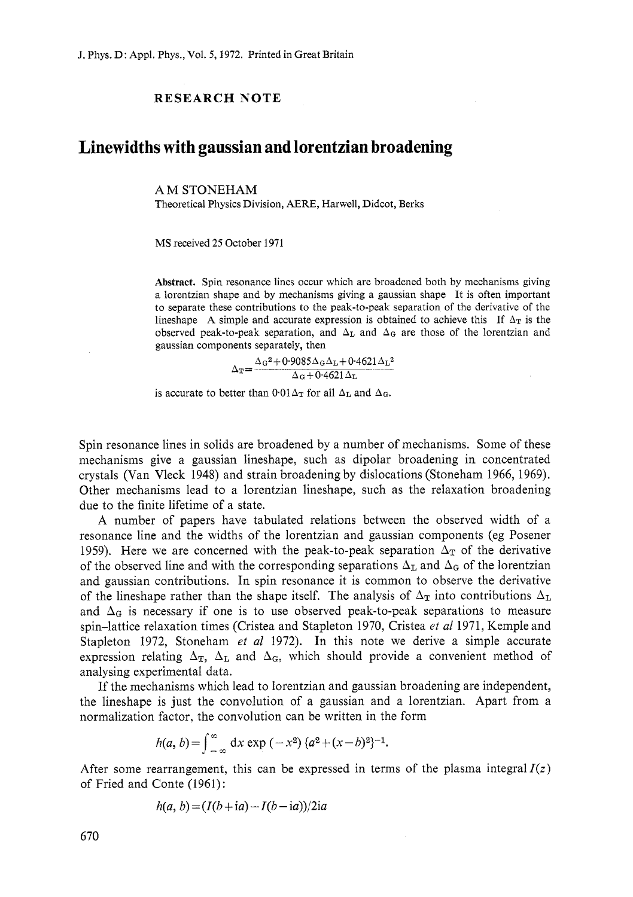## **RESEARCH NOTE**

## **Linewidths with gaussian and lorentzian broadening**

## AM STONEHAM

Theoretical Physics Division, AERE, Harwell, Didcot, Berks

MS received 25 October 1971

**Abstract.** Spin resonance lines occur which are broadened both by mechanisms giving a lorentzian shape and by mechanisms giving a gaussian shape It is often important to separate these contributions to the peak-to-peak separation of the derivative of the lineshape A simple and accurate expression is obtained to achieve this If  $\Delta_T$  is the observed peak-to-peak separation, and  $\Delta_L$  and  $\Delta_G$  are those of the lorentzian and gaussian components separately, then

 $\Delta$ <sub>G</sub><sup>2</sup>+0<sup>.</sup>9085 $\Delta$ <sub>G</sub> $\Delta$ <sub>L</sub>+0.4621 $\Delta$ <sub>L</sub><sup>2</sup>  $\Delta_{\rm T} = \frac{\Delta_{\rm G}^2 + 0.9085 \Delta_{\rm G} \Delta_{\rm L} + 0.4621 \Delta_{\rm L}}{\Delta_{\rm G} + 0.4621 \Delta_{\rm L}}$ 

is accurate to better than  $0.01 \Delta_T$  for all  $\Delta_L$  and  $\Delta_G$ .

Spin resonance lines in solids are broadened by a number of mechanisms. Some of these mechanisms give a gaussian lineshape, such as dipolar broadening in concentrated crystals (Van Vleck 1948) and strain broadening by dislocations (Stoneham 1966, 1969). Other mechanisms lead to a lorentzian lineshape, such as the relaxation broadening due to the finite lifetime of a state.

A number of papers have tabulated relations between the observed width of a resonance line and the widths of the lorentzian and gaussian components (eg Posener 1959). Here we are concerned with the peak-to-peak separation  $\Delta_T$  of the derivative of the observed line and with the corresponding separations  $\Delta_{\rm L}$  and  $\Delta_{\rm G}$  of the lorentzian and gaussian contributions. In spin resonance it is common to observe the derivative of the lineshape rather than the shape itself. The analysis of  $\Delta_T$  into contributions  $\Delta_L$ and  $\Delta_{\rm G}$  is necessary if one is to use observed peak-to-peak separations to measure spin-lattice relaxation times (Cristea and Stapleton 1970, Cristea *et a1* 1971, Kemple and Stapleton 1972, Stoneham *et al* 1972). In this note we derive a simple accurate expression relating  $\Delta_{\text{T}}$ ,  $\Delta_{\text{L}}$  and  $\Delta_{\text{G}}$ , which should provide a convenient method of analysing experimental data.

If the mechanisms which lead to lorentzian and gaussian broadening are independent, the lineshape is just the convolution of a gaussian and a lorentzian. Apart from a normalization factor, the convolution can be written in the form

$$
h(a, b) = \int_{-\infty}^{\infty} dx \exp(-x^2) \{a^2 + (x - b)^2\}^{-1}.
$$

After some rearrangement, this can be expressed in terms of the plasma integral  $I(z)$ of Fried and Conte (1961):

$$
h(a, b) = (I(b + ia) - I(b - ia))/2ia
$$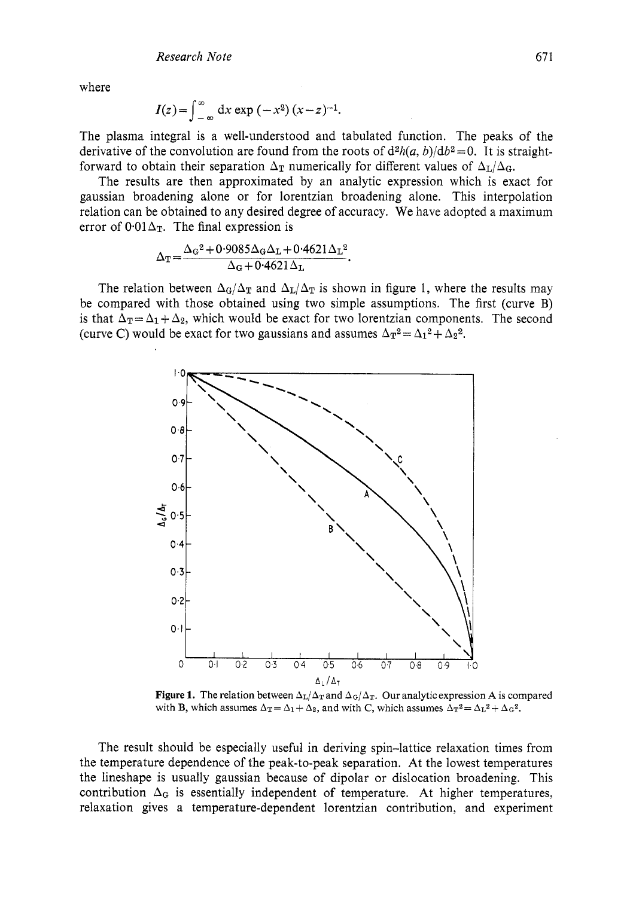where

$$
I(z) = \int_{-\infty}^{\infty} dx \exp(-x^2) (x - z)^{-1}.
$$

The plasma integral is a well-understood and tabulated function. The peaks of the derivative of the convolution are found from the roots of  $d^{2}h(a, b)/d^{2}=0$ . It is straightforward to obtain their separation  $\Delta_T$  numerically for different values of  $\Delta_L/\Delta_G$ .

The results are then approximated by an analytic expression which is exact for gaussian broadening alone or for lorentzian broadening alone. This interpolation relation can be obtained to any desired degree of accuracy. We have adopted a maximum error of  $0.01\Delta_T$ . The final expression is

$$
\Delta_{\rm T} = \frac{\Delta_{\rm G}^2 + 0.9085 \Delta_{\rm G} \Delta_{\rm L} + 0.4621 \Delta_{\rm L}^2}{\Delta_{\rm G} + 0.4621 \Delta_{\rm L}}.
$$

The relation between  $\Delta_G/\Delta_T$  and  $\Delta_L/\Delta_T$  is shown in figure 1, where the results may be compared with those obtained using two simple assumptions. The first (curve B) is that  $\Delta_T = \Delta_1 + \Delta_2$ , which would be exact for two lorentzian components. The second (curve C) would be exact for two gaussians and assumes  $\Delta_{\rm T}^2 = \Delta_1^2 + \Delta_2^2$ .



**Figure 1.** The relation between  $\Delta_{\text{L}}/\Delta_{\text{T}}$  and  $\Delta_{\text{G}}/\Delta_{\text{T}}$ . Our analytic expression A is compared with **B**, which assumes  $\Delta_T = \Delta_1 + \Delta_2$ , and with *C*, which assumes  $\Delta_T^2 = \Delta_L^2 + \Delta_G^2$ .

The result should be especially useful in deriving spin-lattice relaxation times from the temperature dependence of the peak-to-peak separation. At the lowest temperatures the lineshape is usually gaussian because of dipolar or dislocation broadening. This contribution  $\Delta_G$  is essentially independent of temperature. At higher temperatures, relaxation gives a temperature-dependent lorentzian contribution, and experiment